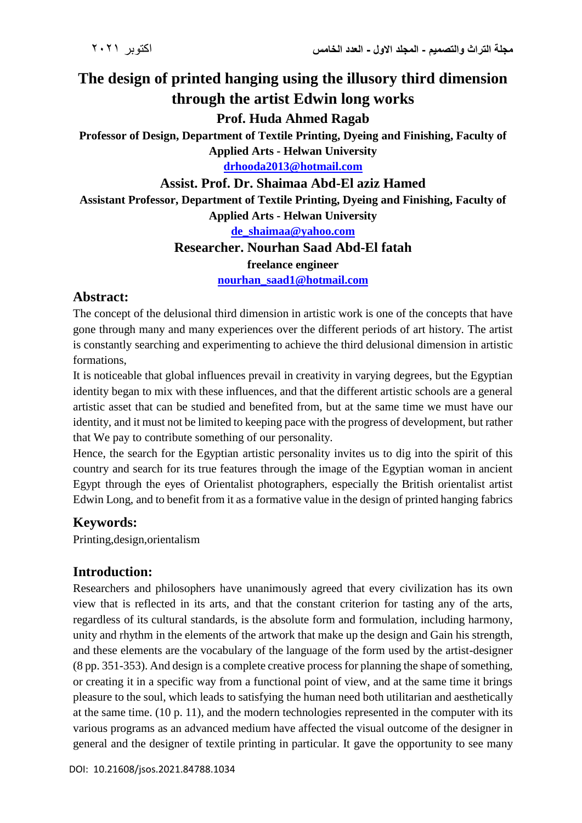# **The design of printed hanging using the illusory third dimension through the artist Edwin long works**

#### **Prof. Huda Ahmed Ragab**

**Professor of Design, Department of Textile Printing, Dyeing and Finishing, Faculty of Applied Arts - Helwan University**

**[drhooda2013@hotmail.com](mailto:drhooda2013@hotmail.com)**

#### **Assist. Prof. Dr. Shaimaa Abd-El aziz Hamed**

**Assistant Professor, Department of Textile Printing, Dyeing and Finishing, Faculty of Applied Arts - Helwan University**

**[de\\_shaimaa@yahoo.com](mailto:de_shaimaa@yahoo.com)**

#### **Researcher. Nourhan Saad Abd-El fatah**

#### **freelance engineer**

**[nourhan\\_saad1@hotmail.com](mailto:nourhan_saad1@hotmail.com)**

#### **Abstract:**

The concept of the delusional third dimension in artistic work is one of the concepts that have gone through many and many experiences over the different periods of art history. The artist is constantly searching and experimenting to achieve the third delusional dimension in artistic formations,

It is noticeable that global influences prevail in creativity in varying degrees, but the Egyptian identity began to mix with these influences, and that the different artistic schools are a general artistic asset that can be studied and benefited from, but at the same time we must have our identity, and it must not be limited to keeping pace with the progress of development, but rather that We pay to contribute something of our personality.

Hence, the search for the Egyptian artistic personality invites us to dig into the spirit of this country and search for its true features through the image of the Egyptian woman in ancient Egypt through the eyes of Orientalist photographers, especially the British orientalist artist Edwin Long, and to benefit from it as a formative value in the design of printed hanging fabrics

#### **Keywords:**

Printing,design,orientalism

#### **Introduction:**

Researchers and philosophers have unanimously agreed that every civilization has its own view that is reflected in its arts, and that the constant criterion for tasting any of the arts, regardless of its cultural standards, is the absolute form and formulation, including harmony, unity and rhythm in the elements of the artwork that make up the design and Gain his strength, and these elements are the vocabulary of the language of the form used by the artist-designer (8 pp. 351-353). And design is a complete creative process for planning the shape of something, or creating it in a specific way from a functional point of view, and at the same time it brings pleasure to the soul, which leads to satisfying the human need both utilitarian and aesthetically at the same time. (10 p. 11), and the modern technologies represented in the computer with its various programs as an advanced medium have affected the visual outcome of the designer in general and the designer of textile printing in particular. It gave the opportunity to see many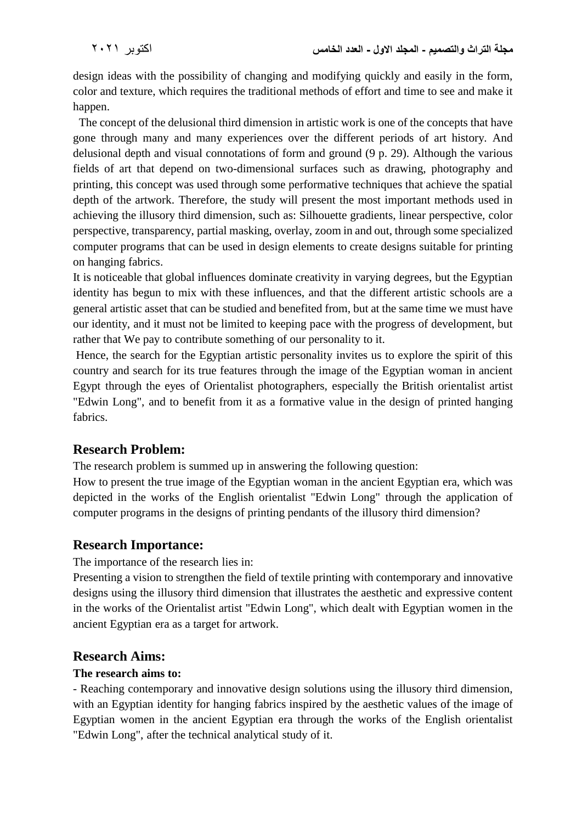design ideas with the possibility of changing and modifying quickly and easily in the form, color and texture, which requires the traditional methods of effort and time to see and make it happen.

 The concept of the delusional third dimension in artistic work is one of the concepts that have gone through many and many experiences over the different periods of art history. And delusional depth and visual connotations of form and ground (9 p. 29). Although the various fields of art that depend on two-dimensional surfaces such as drawing, photography and printing, this concept was used through some performative techniques that achieve the spatial depth of the artwork. Therefore, the study will present the most important methods used in achieving the illusory third dimension, such as: Silhouette gradients, linear perspective, color perspective, transparency, partial masking, overlay, zoom in and out, through some specialized computer programs that can be used in design elements to create designs suitable for printing on hanging fabrics.

It is noticeable that global influences dominate creativity in varying degrees, but the Egyptian identity has begun to mix with these influences, and that the different artistic schools are a general artistic asset that can be studied and benefited from, but at the same time we must have our identity, and it must not be limited to keeping pace with the progress of development, but rather that We pay to contribute something of our personality to it.

Hence, the search for the Egyptian artistic personality invites us to explore the spirit of this country and search for its true features through the image of the Egyptian woman in ancient Egypt through the eyes of Orientalist photographers, especially the British orientalist artist "Edwin Long", and to benefit from it as a formative value in the design of printed hanging fabrics.

# **Research Problem:**

The research problem is summed up in answering the following question:

How to present the true image of the Egyptian woman in the ancient Egyptian era, which was depicted in the works of the English orientalist "Edwin Long" through the application of computer programs in the designs of printing pendants of the illusory third dimension?

# **Research Importance:**

The importance of the research lies in:

Presenting a vision to strengthen the field of textile printing with contemporary and innovative designs using the illusory third dimension that illustrates the aesthetic and expressive content in the works of the Orientalist artist "Edwin Long", which dealt with Egyptian women in the ancient Egyptian era as a target for artwork.

#### **Research Aims:**

#### **The research aims to:**

- Reaching contemporary and innovative design solutions using the illusory third dimension, with an Egyptian identity for hanging fabrics inspired by the aesthetic values of the image of Egyptian women in the ancient Egyptian era through the works of the English orientalist "Edwin Long", after the technical analytical study of it.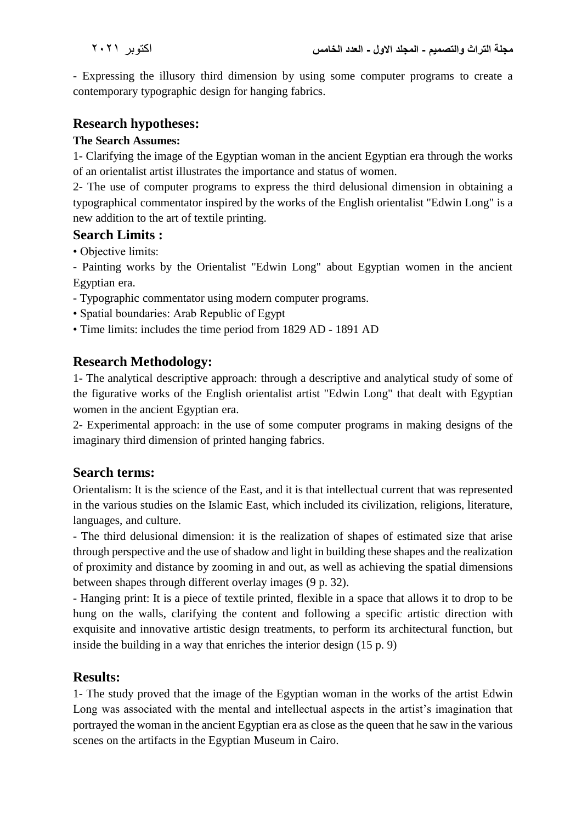- Expressing the illusory third dimension by using some computer programs to create a contemporary typographic design for hanging fabrics.

# **Research hypotheses:**

### **The Search Assumes:**

1- Clarifying the image of the Egyptian woman in the ancient Egyptian era through the works of an orientalist artist illustrates the importance and status of women.

2- The use of computer programs to express the third delusional dimension in obtaining a typographical commentator inspired by the works of the English orientalist "Edwin Long" is a new addition to the art of textile printing.

# **Search Limits :**

• Objective limits:

- Painting works by the Orientalist "Edwin Long" about Egyptian women in the ancient Egyptian era.

- Typographic commentator using modern computer programs.
- Spatial boundaries: Arab Republic of Egypt
- Time limits: includes the time period from 1829 AD 1891 AD

# **Research Methodology:**

1- The analytical descriptive approach: through a descriptive and analytical study of some of the figurative works of the English orientalist artist "Edwin Long" that dealt with Egyptian women in the ancient Egyptian era.

2- Experimental approach: in the use of some computer programs in making designs of the imaginary third dimension of printed hanging fabrics.

# **Search terms:**

Orientalism: It is the science of the East, and it is that intellectual current that was represented in the various studies on the Islamic East, which included its civilization, religions, literature, languages, and culture.

- The third delusional dimension: it is the realization of shapes of estimated size that arise through perspective and the use of shadow and light in building these shapes and the realization of proximity and distance by zooming in and out, as well as achieving the spatial dimensions between shapes through different overlay images (9 p. 32).

- Hanging print: It is a piece of textile printed, flexible in a space that allows it to drop to be hung on the walls, clarifying the content and following a specific artistic direction with exquisite and innovative artistic design treatments, to perform its architectural function, but inside the building in a way that enriches the interior design (15 p. 9)

# **Results:**

1- The study proved that the image of the Egyptian woman in the works of the artist Edwin Long was associated with the mental and intellectual aspects in the artist's imagination that portrayed the woman in the ancient Egyptian era as close as the queen that he saw in the various scenes on the artifacts in the Egyptian Museum in Cairo.